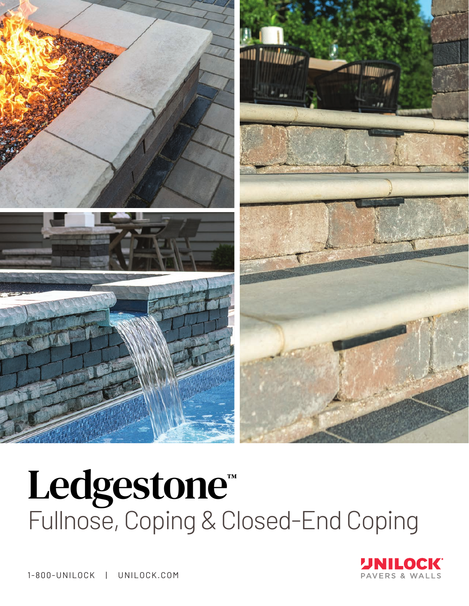

# Ledgestone™ Fullnose, Coping & Closed-End Coping



1-800-UNILOCK | UNILOCK.COM